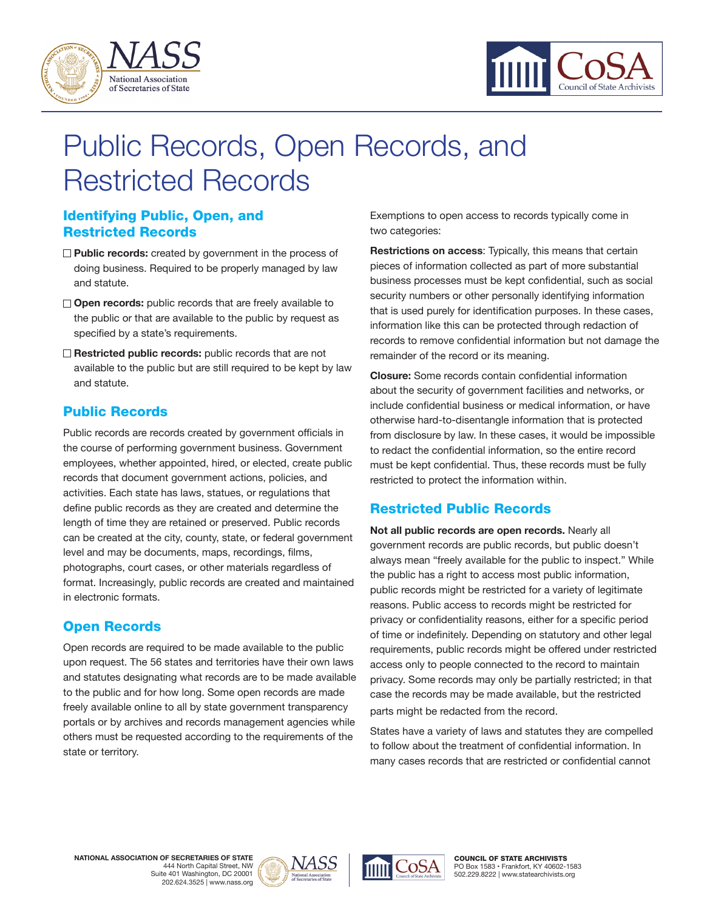



# Public Records, Open Records, and Restricted Records

## Identifying Public, Open, and Restricted Records

- **Public records:** created by government in the process of doing business. Required to be properly managed by law and statute.
- **Open records:** public records that are freely available to the public or that are available to the public by request as specified by a state's requirements.
- **Restricted public records:** public records that are not available to the public but are still required to be kept by law and statute.

#### Public Records

Public records are records created by government officials in the course of performing government business. Government employees, whether appointed, hired, or elected, create public records that document government actions, policies, and activities. Each state has laws, statues, or regulations that define public records as they are created and determine the length of time they are retained or preserved. Public records can be created at the city, county, state, or federal government level and may be documents, maps, recordings, films, photographs, court cases, or other materials regardless of format. Increasingly, public records are created and maintained in electronic formats.

## Open Records

Open records are required to be made available to the public upon request. The 56 states and territories have their own laws and statutes designating what records are to be made available to the public and for how long. Some open records are made freely available online to all by state government transparency portals or by archives and records management agencies while others must be requested according to the requirements of the state or territory.

Exemptions to open access to records typically come in two categories:

**Restrictions on access**: Typically, this means that certain pieces of information collected as part of more substantial business processes must be kept confidential, such as social security numbers or other personally identifying information that is used purely for identification purposes. In these cases, information like this can be protected through redaction of records to remove confidential information but not damage the remainder of the record or its meaning.

**Closure:** Some records contain confidential information about the security of government facilities and networks, or include confidential business or medical information, or have otherwise hard-to-disentangle information that is protected from disclosure by law. In these cases, it would be impossible to redact the confidential information, so the entire record must be kept confidential. Thus, these records must be fully restricted to protect the information within.

## Restricted Public Records

**Not all public records are open records.** Nearly all government records are public records, but public doesn't always mean "freely available for the public to inspect." While the public has a right to access most public information, public records might be restricted for a variety of legitimate reasons. Public access to records might be restricted for privacy or confidentiality reasons, either for a specific period of time or indefinitely. Depending on statutory and other legal requirements, public records might be offered under restricted access only to people connected to the record to maintain privacy. Some records may only be partially restricted; in that case the records may be made available, but the restricted parts might be redacted from the record.

States have a variety of laws and statutes they are compelled to follow about the treatment of confidential information. In many cases records that are restricted or confidential cannot

**NATIONAL ASSOCIATION OF SECRETARIES OF STATE** 444 North Capital Street, NW Suite 401 Washington, DC 20001 202.624.3525 | www.nass.org





COUNCIL OF STATE ARCHIVISTS PO Box 1583 • Frankfort, KY 40602-1583 502.229.8222 | www.statearchivists.org